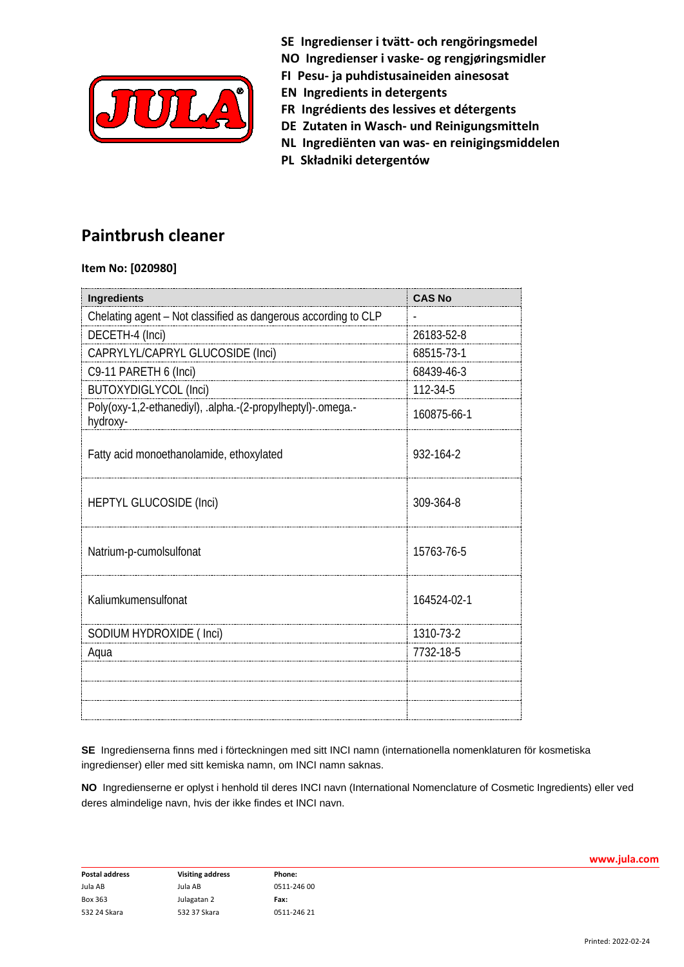

**SE Ingredienser i tvätt- och rengöringsmedel**

**NO Ingredienser i vaske- og rengjøringsmidler**

- **FI Pesu- ja puhdistusaineiden ainesosat**
- **EN Ingredients in detergents**
- **FR Ingrédients des lessives et détergents**
- **DE Zutaten in Wasch- und Reinigungsmitteln**
- **NL Ingrediënten van was- en reinigingsmiddelen**
- **PL Składniki detergentów**

## **Paintbrush cleaner**

## **Item No: [020980]**

| <b>Ingredients</b>                                                      | <b>CAS No</b> |
|-------------------------------------------------------------------------|---------------|
| Chelating agent - Not classified as dangerous according to CLP          |               |
| DECETH-4 (Inci)                                                         | 26183-52-8    |
| CAPRYLYL/CAPRYL GLUCOSIDE (Inci)                                        | 68515-73-1    |
| C9-11 PARETH 6 (Inci)                                                   | 68439-46-3    |
| <b>BUTOXYDIGLYCOL (Inci)</b>                                            | 112-34-5      |
| Poly(oxy-1,2-ethanediyl), .alpha.-(2-propylheptyl)-.omega.-<br>hydroxy- | 160875-66-1   |
| Fatty acid monoethanolamide, ethoxylated                                | 932-164-2     |
| <b>HEPTYL GLUCOSIDE (Inci)</b>                                          | 309-364-8     |
| Natrium-p-cumolsulfonat                                                 | 15763-76-5    |
| Kaliumkumensulfonat                                                     | 164524-02-1   |
| SODIUM HYDROXIDE (Inci)                                                 | 1310-73-2     |
| Aqua                                                                    | 7732-18-5     |
|                                                                         |               |
|                                                                         |               |
|                                                                         |               |

**SE** Ingredienserna finns med i förteckningen med sitt INCI namn (internationella nomenklaturen för kosmetiska ingredienser) eller med sitt kemiska namn, om INCI namn saknas.

**NO** Ingredienserne er oplyst i henhold til deres INCI navn (International Nomenclature of Cosmetic Ingredients) eller ved deres almindelige navn, hvis der ikke findes et INCI navn.